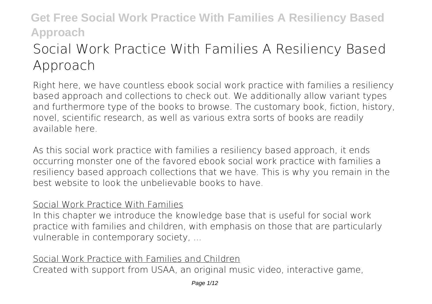# **Social Work Practice With Families A Resiliency Based Approach**

Right here, we have countless ebook **social work practice with families a resiliency based approach** and collections to check out. We additionally allow variant types and furthermore type of the books to browse. The customary book, fiction, history, novel, scientific research, as well as various extra sorts of books are readily available here.

As this social work practice with families a resiliency based approach, it ends occurring monster one of the favored ebook social work practice with families a resiliency based approach collections that we have. This is why you remain in the best website to look the unbelievable books to have.

#### Social Work Practice With Families

In this chapter we introduce the knowledge base that is useful for social work practice with families and children, with emphasis on those that are particularly vulnerable in contemporary society, ...

### Social Work Practice with Families and Children

Created with support from USAA, an original music video, interactive game,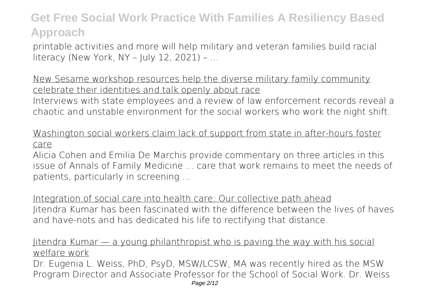printable activities and more will help military and veteran families build racial literacy (New York, NY – July 12, 2021) – ...

New Sesame workshop resources help the diverse military family community celebrate their identities and talk openly about race Interviews with state employees and a review of law enforcement records reveal a chaotic and unstable environment for the social workers who work the night shift.

Washington social workers claim lack of support from state in after-hours foster care

Alicia Cohen and Emilia De Marchis provide commentary on three articles in this issue of Annals of Family Medicine ... care that work remains to meet the needs of patients, particularly in screening ...

Integration of social care into health care: Our collective path ahead Jitendra Kumar has been fascinated with the difference between the lives of haves and have-nots and has dedicated his life to rectifying that distance.

#### Jitendra Kumar — a young philanthropist who is paving the way with his social welfare work

Dr. Eugenia L. Weiss, PhD, PsyD, MSW/LCSW, MA was recently hired as the MSW Program Director and Associate Professor for the School of Social Work. Dr. Weiss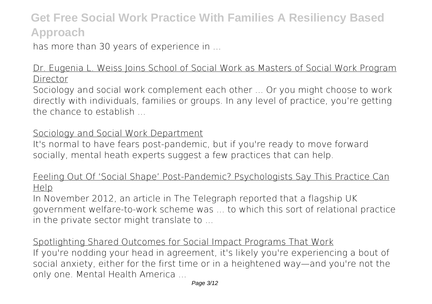has more than 30 years of experience in ...

#### Dr. Eugenia L. Weiss Joins School of Social Work as Masters of Social Work Program Director

Sociology and social work complement each other ... Or you might choose to work directly with individuals, families or groups. In any level of practice, you're getting the chance to establish

#### Sociology and Social Work Department

It's normal to have fears post-pandemic, but if you're ready to move forward socially, mental heath experts suggest a few practices that can help.

#### Feeling Out Of 'Social Shape' Post-Pandemic? Psychologists Say This Practice Can Help

In November 2012, an article in The Telegraph reported that a flagship UK government welfare-to-work scheme was ... to which this sort of relational practice in the private sector might translate to ...

Spotlighting Shared Outcomes for Social Impact Programs That Work If you're nodding your head in agreement, it's likely you're experiencing a bout of social anxiety, either for the first time or in a heightened way—and you're not the only one. Mental Health America ...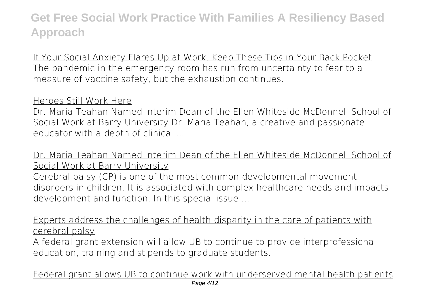If Your Social Anxiety Flares Up at Work, Keep These Tips in Your Back Pocket The pandemic in the emergency room has run from uncertainty to fear to a measure of vaccine safety, but the exhaustion continues.

#### Heroes Still Work Here

Dr. Maria Teahan Named Interim Dean of the Ellen Whiteside McDonnell School of Social Work at Barry University Dr. Maria Teahan, a creative and passionate educator with a depth of clinical ...

### Dr. Maria Teahan Named Interim Dean of the Ellen Whiteside McDonnell School of Social Work at Barry University

Cerebral palsy (CP) is one of the most common developmental movement disorders in children. It is associated with complex healthcare needs and impacts development and function. In this special issue ...

Experts address the challenges of health disparity in the care of patients with cerebral palsy

A federal grant extension will allow UB to continue to provide interprofessional education, training and stipends to graduate students.

Federal grant allows UB to continue work with underserved mental health patients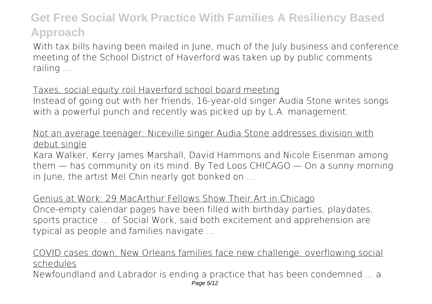With tax bills having been mailed in June, much of the July business and conference meeting of the School District of Haverford was taken up by public comments railing ...

#### Taxes, social equity roil Haverford school board meeting

Instead of going out with her friends, 16-year-old singer Audia Stone writes songs with a powerful punch and recently was picked up by L.A. management.

### Not an average teenager: Niceville singer Audia Stone addresses division with debut single

Kara Walker, Kerry James Marshall, David Hammons and Nicole Eisenman among them — has community on its mind. By Ted Loos CHICAGO — On a sunny morning in June, the artist Mel Chin nearly got bonked on ...

Genius at Work: 29 MacArthur Fellows Show Their Art in Chicago Once-empty calendar pages have been filled with birthday parties, playdates, sports practice ... of Social Work, said both excitement and apprehension are typical as people and families navigate ...

### COVID cases down, New Orleans families face new challenge: overflowing social schedules

Newfoundland and Labrador is ending a practice that has been condemned ... a Page 5/12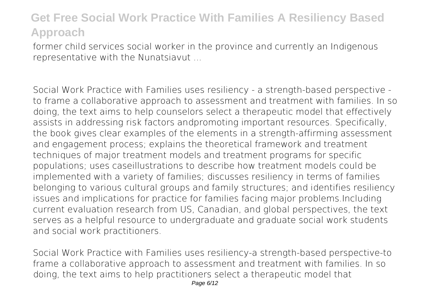former child services social worker in the province and currently an Indigenous representative with the Nunatsiavut ...

Social Work Practice with Families uses resiliency - a strength-based perspective to frame a collaborative approach to assessment and treatment with families. In so doing, the text aims to help counselors select a therapeutic model that effectively assists in addressing risk factors andpromoting important resources. Specifically, the book gives clear examples of the elements in a strength-affirming assessment and engagement process; explains the theoretical framework and treatment techniques of major treatment models and treatment programs for specific populations; uses caseillustrations to describe how treatment models could be implemented with a variety of families; discusses resiliency in terms of families belonging to various cultural groups and family structures; and identifies resiliency issues and implications for practice for families facing major problems.Including current evaluation research from US, Canadian, and global perspectives, the text serves as a helpful resource to undergraduate and graduate social work students and social work practitioners.

Social Work Practice with Families uses resiliency-a strength-based perspective-to frame a collaborative approach to assessment and treatment with families. In so doing, the text aims to help practitioners select a therapeutic model that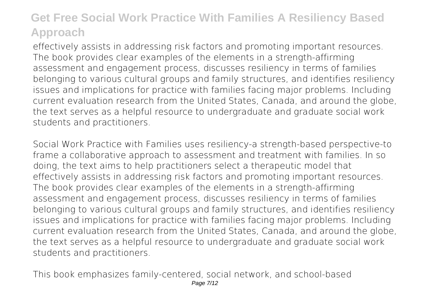effectively assists in addressing risk factors and promoting important resources. The book provides clear examples of the elements in a strength-affirming assessment and engagement process, discusses resiliency in terms of families belonging to various cultural groups and family structures, and identifies resiliency issues and implications for practice with families facing major problems. Including current evaluation research from the United States, Canada, and around the globe, the text serves as a helpful resource to undergraduate and graduate social work students and practitioners.

Social Work Practice with Families uses resiliency-a strength-based perspective-to frame a collaborative approach to assessment and treatment with families. In so doing, the text aims to help practitioners select a therapeutic model that effectively assists in addressing risk factors and promoting important resources. The book provides clear examples of the elements in a strength-affirming assessment and engagement process, discusses resiliency in terms of families belonging to various cultural groups and family structures, and identifies resiliency issues and implications for practice with families facing major problems. Including current evaluation research from the United States, Canada, and around the globe, the text serves as a helpful resource to undergraduate and graduate social work students and practitioners.

This book emphasizes family-centered, social network, and school-based Page 7/12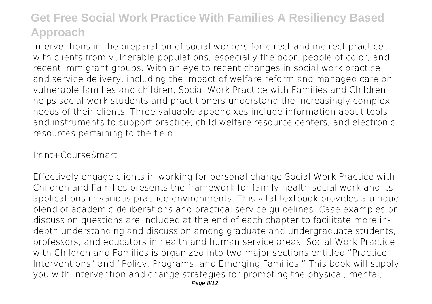interventions in the preparation of social workers for direct and indirect practice with clients from vulnerable populations, especially the poor, people of color, and recent immigrant groups. With an eye to recent changes in social work practice and service delivery, including the impact of welfare reform and managed care on vulnerable families and children, Social Work Practice with Families and Children helps social work students and practitioners understand the increasingly complex needs of their clients. Three valuable appendixes include information about tools and instruments to support practice, child welfare resource centers, and electronic resources pertaining to the field.

#### Print+CourseSmart

Effectively engage clients in working for personal change Social Work Practice with Children and Families presents the framework for family health social work and its applications in various practice environments. This vital textbook provides a unique blend of academic deliberations and practical service guidelines. Case examples or discussion questions are included at the end of each chapter to facilitate more indepth understanding and discussion among graduate and undergraduate students, professors, and educators in health and human service areas. Social Work Practice with Children and Families is organized into two major sections entitled "Practice Interventions" and "Policy, Programs, and Emerging Families." This book will supply you with intervention and change strategies for promoting the physical, mental,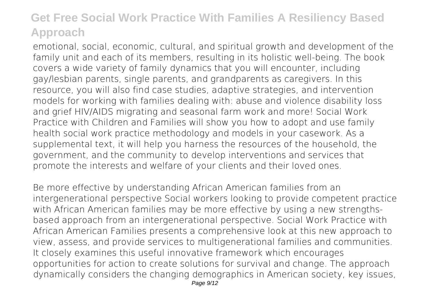emotional, social, economic, cultural, and spiritual growth and development of the family unit and each of its members, resulting in its holistic well-being. The book covers a wide variety of family dynamics that you will encounter, including gay/lesbian parents, single parents, and grandparents as caregivers. In this resource, you will also find case studies, adaptive strategies, and intervention models for working with families dealing with: abuse and violence disability loss and grief HIV/AIDS migrating and seasonal farm work and more! Social Work Practice with Children and Families will show you how to adopt and use family health social work practice methodology and models in your casework. As a supplemental text, it will help you harness the resources of the household, the government, and the community to develop interventions and services that promote the interests and welfare of your clients and their loved ones.

Be more effective by understanding African American families from an intergenerational perspective Social workers looking to provide competent practice with African American families may be more effective by using a new strengthsbased approach from an intergenerational perspective. Social Work Practice with African American Families presents a comprehensive look at this new approach to view, assess, and provide services to multigenerational families and communities. It closely examines this useful innovative framework which encourages opportunities for action to create solutions for survival and change. The approach dynamically considers the changing demographics in American society, key issues,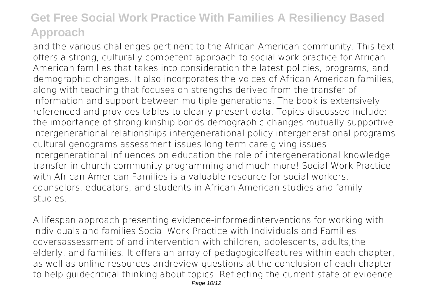and the various challenges pertinent to the African American community. This text offers a strong, culturally competent approach to social work practice for African American families that takes into consideration the latest policies, programs, and demographic changes. It also incorporates the voices of African American families, along with teaching that focuses on strengths derived from the transfer of information and support between multiple generations. The book is extensively referenced and provides tables to clearly present data. Topics discussed include: the importance of strong kinship bonds demographic changes mutually supportive intergenerational relationships intergenerational policy intergenerational programs cultural genograms assessment issues long term care giving issues intergenerational influences on education the role of intergenerational knowledge transfer in church community programming and much more! Social Work Practice with African American Families is a valuable resource for social workers. counselors, educators, and students in African American studies and family studies.

A lifespan approach presenting evidence-informedinterventions for working with individuals and families Social Work Practice with Individuals and Families coversassessment of and intervention with children, adolescents, adults,the elderly, and families. It offers an array of pedagogicalfeatures within each chapter, as well as online resources andreview questions at the conclusion of each chapter to help guidecritical thinking about topics. Reflecting the current state of evidence-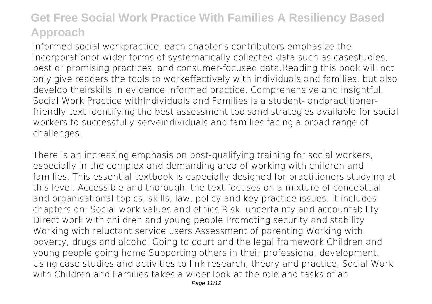informed social workpractice, each chapter's contributors emphasize the incorporationof wider forms of systematically collected data such as casestudies, best or promising practices, and consumer-focused data.Reading this book will not only give readers the tools to workeffectively with individuals and families, but also develop theirskills in evidence informed practice. Comprehensive and insightful, Social Work Practice withIndividuals and Families is a student- andpractitionerfriendly text identifying the best assessment toolsand strategies available for social workers to successfully serveindividuals and families facing a broad range of challenges.

There is an increasing emphasis on post-qualifying training for social workers, especially in the complex and demanding area of working with children and families. This essential textbook is especially designed for practitioners studying at this level. Accessible and thorough, the text focuses on a mixture of conceptual and organisational topics, skills, law, policy and key practice issues. It includes chapters on: Social work values and ethics Risk, uncertainty and accountability Direct work with children and young people Promoting security and stability Working with reluctant service users Assessment of parenting Working with poverty, drugs and alcohol Going to court and the legal framework Children and young people going home Supporting others in their professional development. Using case studies and activities to link research, theory and practice, Social Work with Children and Families takes a wider look at the role and tasks of an